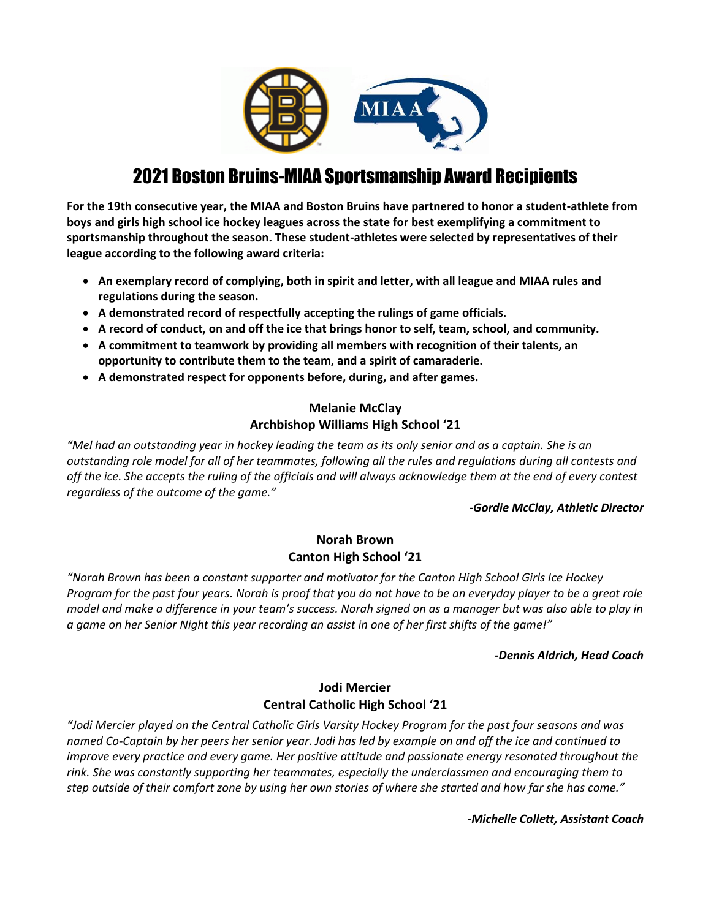

# 2021 Boston Bruins-MIAA Sportsmanship Award Recipients

**For the 19th consecutive year, the MIAA and Boston Bruins have partnered to honor a student-athlete from boys and girls high school ice hockey leagues across the state for best exemplifying a commitment to sportsmanship throughout the season. These student-athletes were selected by representatives of their league according to the following award criteria:** 

- **An exemplary record of complying, both in spirit and letter, with all league and MIAA rules and regulations during the season.**
- **A demonstrated record of respectfully accepting the rulings of game officials.**
- **A record of conduct, on and off the ice that brings honor to self, team, school, and community.**
- **A commitment to teamwork by providing all members with recognition of their talents, an opportunity to contribute them to the team, and a spirit of camaraderie.**
- **A demonstrated respect for opponents before, during, and after games.**

# **Melanie McClay Archbishop Williams High School '21**

*"Mel had an outstanding year in hockey leading the team as its only senior and as a captain. She is an outstanding role model for all of her teammates, following all the rules and regulations during all contests and off the ice. She accepts the ruling of the officials and will always acknowledge them at the end of every contest regardless of the outcome of the game."*

### *-Gordie McClay, Athletic Director*

# **Norah Brown Canton High School '21**

*"Norah Brown has been a constant supporter and motivator for the Canton High School Girls Ice Hockey Program for the past four years. Norah is proof that you do not have to be an everyday player to be a great role model and make a difference in your team's success. Norah signed on as a manager but was also able to play in a game on her Senior Night this year recording an assist in one of her first shifts of the game!"*

#### *-Dennis Aldrich, Head Coach*

# **Jodi Mercier Central Catholic High School '21**

*"Jodi Mercier played on the Central Catholic Girls Varsity Hockey Program for the past four seasons and was named Co-Captain by her peers her senior year. Jodi has led by example on and off the ice and continued to improve every practice and every game. Her positive attitude and passionate energy resonated throughout the rink. She was constantly supporting her teammates, especially the underclassmen and encouraging them to step outside of their comfort zone by using her own stories of where she started and how far she has come."*

*-Michelle Collett, Assistant Coach*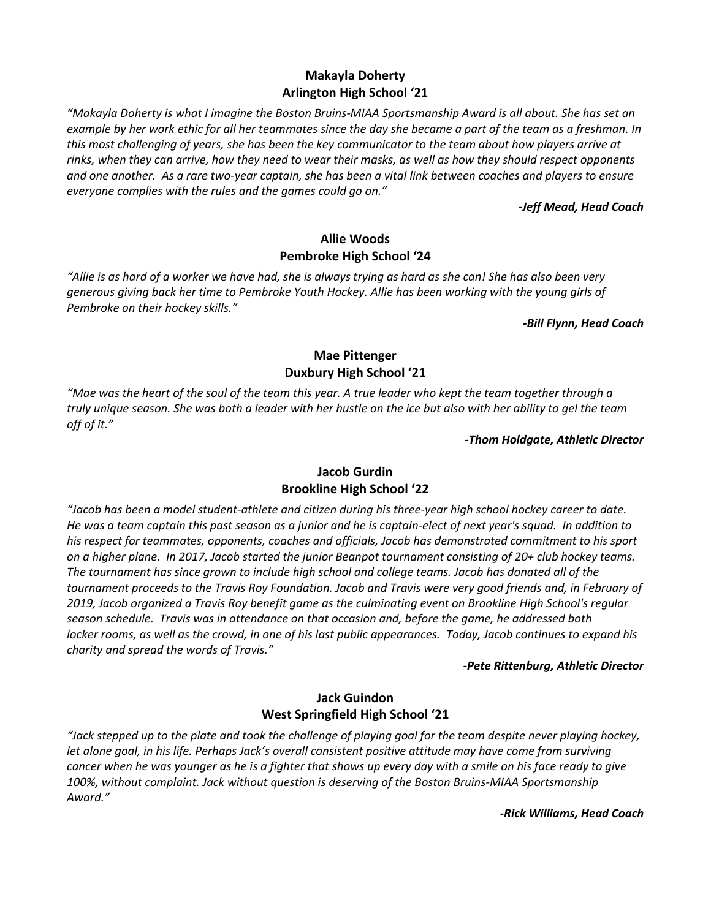# **Makayla Doherty Arlington High School '21**

*"Makayla Doherty is what I imagine the Boston Bruins-MIAA Sportsmanship Award is all about. She has set an example by her work ethic for all her teammates since the day she became a part of the team as a freshman. In this most challenging of years, she has been the key communicator to the team about how players arrive at rinks, when they can arrive, how they need to wear their masks, as well as how they should respect opponents and one another. As a rare two-year captain, she has been a vital link between coaches and players to ensure everyone complies with the rules and the games could go on."*

#### *-Jeff Mead, Head Coach*

### **Allie Woods Pembroke High School '24**

*"Allie is as hard of a worker we have had, she is always trying as hard as she can! She has also been very generous giving back her time to Pembroke Youth Hockey. Allie has been working with the young girls of Pembroke on their hockey skills."*

*-Bill Flynn, Head Coach*

# **Mae Pittenger Duxbury High School '21**

*"Mae was the heart of the soul of the team this year. A true leader who kept the team together through a truly unique season. She was both a leader with her hustle on the ice but also with her ability to gel the team off of it."*

#### *-Thom Holdgate, Athletic Director*

# **Jacob Gurdin Brookline High School '22**

*"Jacob has been a model student-athlete and citizen during his three-year high school hockey career to date. He was a team captain this past season as a junior and he is captain-elect of next year's squad. In addition to his respect for teammates, opponents, coaches and officials, Jacob has demonstrated commitment to his sport on a higher plane. In 2017, Jacob started the junior Beanpot tournament consisting of 20+ club hockey teams. The tournament has since grown to include high school and college teams. Jacob has donated all of the tournament proceeds to the Travis Roy Foundation. Jacob and Travis were very good friends and, in February of 2019, Jacob organized a Travis Roy benefit game as the culminating event on Brookline High School's regular season schedule. Travis was in attendance on that occasion and, before the game, he addressed both locker rooms, as well as the crowd, in one of his last public appearances. Today, Jacob continues to expand his charity and spread the words of Travis."*

#### *-Pete Rittenburg, Athletic Director*

# **Jack Guindon West Springfield High School '21**

*"Jack stepped up to the plate and took the challenge of playing goal for the team despite never playing hockey, let alone goal, in his life. Perhaps Jack's overall consistent positive attitude may have come from surviving cancer when he was younger as he is a fighter that shows up every day with a smile on his face ready to give 100%, without complaint. Jack without question is deserving of the Boston Bruins-MIAA Sportsmanship Award."*

*-Rick Williams, Head Coach*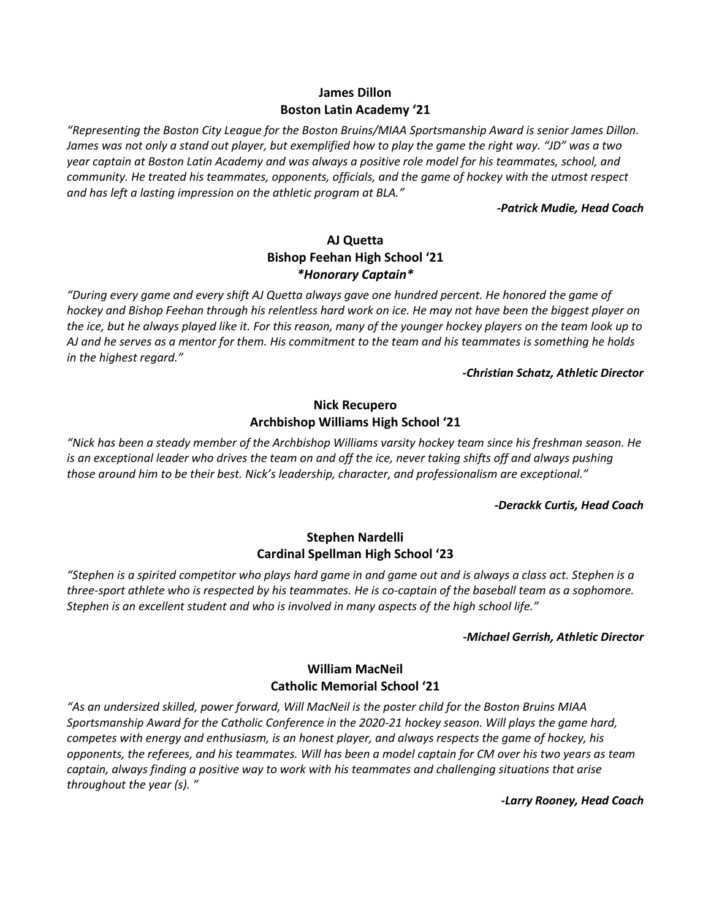# **James Dillon Boston Latin Academy '21**

*"Representing the Boston City League for the Boston Bruins/MIAA Sportsmanship Award is senior James Dillon. James was not only a stand out player, but exemplified how to play the game the right way. "JD" was a two year captain at Boston Latin Academy and was always a positive role model for his teammates, school, and community. He treated his teammates, opponents, officials, and the game of hockey with the utmost respect and has left a lasting impression on the athletic program at BLA."*

*-Patrick Mudie, Head Coach*

# **AJ Quetta Bishop Feehan High School '21** *\*Honorary Captain\**

*"During every game and every shift AJ Quetta always gave one hundred percent. He honored the game of hockey and Bishop Feehan through his relentless hard work on ice. He may not have been the biggest player on the ice, but he always played like it. For this reason, many of the younger hockey players on the team look up to AJ and he serves as a mentor for them. His commitment to the team and his teammates is something he holds in the highest regard."*

#### *-Christian Schatz, Athletic Director*

# **Nick Recupero Archbishop Williams High School '21**

*"Nick has been a steady member of the Archbishop Williams varsity hockey team since his freshman season. He is an exceptional leader who drives the team on and off the ice, never taking shifts off and always pushing those around him to be their best. Nick's leadership, character, and professionalism are exceptional."*

#### *-Derackk Curtis, Head Coach*

# **Stephen Nardelli Cardinal Spellman High School '23**

*"Stephen is a spirited competitor who plays hard game in and game out and is always a class act. Stephen is a three-sport athlete who is respected by his teammates. He is co-captain of the baseball team as a sophomore. Stephen is an excellent student and who is involved in many aspects of the high school life."*

#### *-Michael Gerrish, Athletic Director*

# **William MacNeil Catholic Memorial School '21**

*"As an undersized skilled, power forward, Will MacNeil is the poster child for the Boston Bruins MIAA Sportsmanship Award for the Catholic Conference in the 2020-21 hockey season. Will plays the game hard, competes with energy and enthusiasm, is an honest player, and always respects the game of hockey, his opponents, the referees, and his teammates. Will has been a model captain for CM over his two years as team captain, always finding a positive way to work with his teammates and challenging situations that arise throughout the year (s). "*

*-Larry Rooney, Head Coach*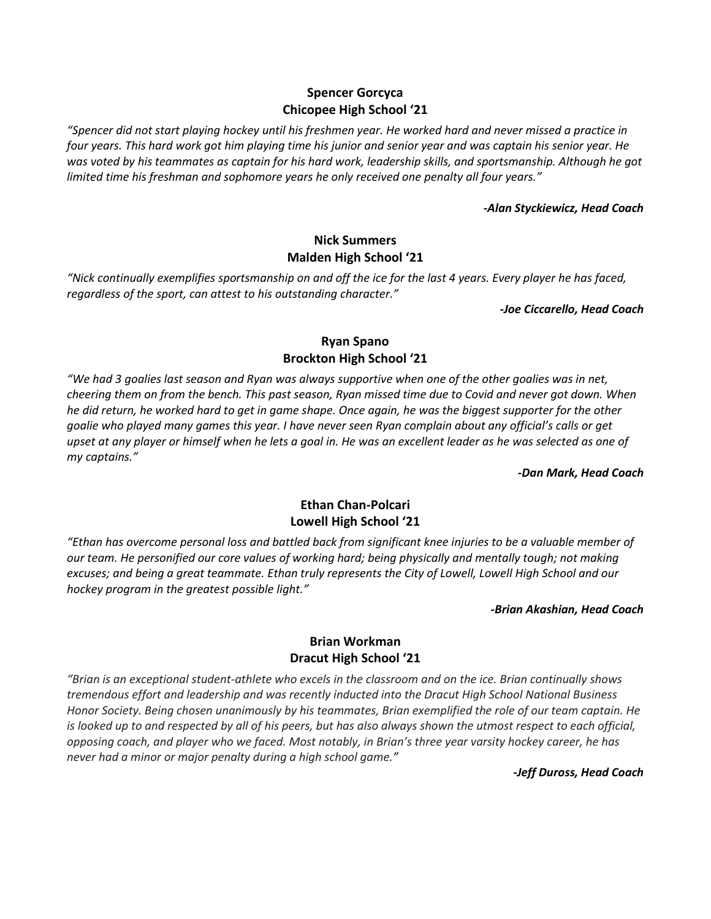# **Spencer Gorcyca Chicopee High School '21**

*"Spencer did not start playing hockey until his freshmen year. He worked hard and never missed a practice in four years. This hard work got him playing time his junior and senior year and was captain his senior year. He*  was voted by his teammates as captain for his hard work, leadership skills, and sportsmanship. Although he got *limited time his freshman and sophomore years he only received one penalty all four years."*

#### *-Alan Styckiewicz, Head Coach*

# **Nick Summers Malden High School '21**

*"Nick continually exemplifies sportsmanship on and off the ice for the last 4 years. Every player he has faced, regardless of the sport, can attest to his outstanding character."*

*-Joe Ciccarello, Head Coach*

# **Ryan Spano Brockton High School '21**

*"We had 3 goalies last season and Ryan was always supportive when one of the other goalies was in net, cheering them on from the bench. This past season, Ryan missed time due to Covid and never got down. When he did return, he worked hard to get in game shape. Once again, he was the biggest supporter for the other goalie who played many games this year. I have never seen Ryan complain about any official's calls or get upset at any player or himself when he lets a goal in. He was an excellent leader as he was selected as one of my captains."*

*-Dan Mark, Head Coach*

# **Ethan Chan-Polcari Lowell High School '21**

*"Ethan has overcome personal loss and battled back from significant knee injuries to be a valuable member of our team. He personified our core values of working hard; being physically and mentally tough; not making excuses; and being a great teammate. Ethan truly represents the City of Lowell, Lowell High School and our hockey program in the greatest possible light."*

*-Brian Akashian, Head Coach*

# **Brian Workman Dracut High School '21**

*"Brian is an exceptional student-athlete who excels in the classroom and on the ice. Brian continually shows tremendous effort and leadership and was recently inducted into the Dracut High School National Business Honor Society. Being chosen unanimously by his teammates, Brian exemplified the role of our team captain. He is looked up to and respected by all of his peers, but has also always shown the utmost respect to each official, opposing coach, and player who we faced. Most notably, in Brian's three year varsity hockey career, he has never had a minor or major penalty during a high school game."*

*-Jeff Duross, Head Coach*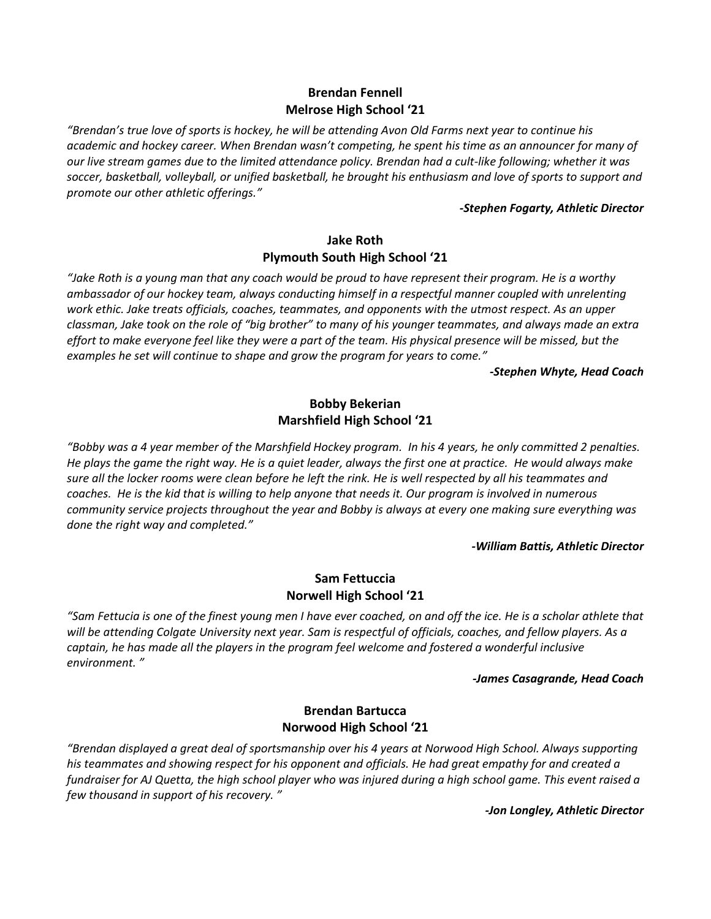# **Brendan Fennell Melrose High School '21**

*"Brendan's true love of sports is hockey, he will be attending Avon Old Farms next year to continue his academic and hockey career. When Brendan wasn't competing, he spent his time as an announcer for many of our live stream games due to the limited attendance policy. Brendan had a cult-like following; whether it was*  soccer, basketball, volleyball, or unified basketball, he brought his enthusiasm and love of sports to support and *promote our other athletic offerings."*

#### *-Stephen Fogarty, Athletic Director*

# **Jake Roth Plymouth South High School '21**

*"Jake Roth is a young man that any coach would be proud to have represent their program. He is a worthy ambassador of our hockey team, always conducting himself in a respectful manner coupled with unrelenting work ethic. Jake treats officials, coaches, teammates, and opponents with the utmost respect. As an upper classman, Jake took on the role of "big brother" to many of his younger teammates, and always made an extra effort to make everyone feel like they were a part of the team. His physical presence will be missed, but the examples he set will continue to shape and grow the program for years to come."*

*-Stephen Whyte, Head Coach*

# **Bobby Bekerian Marshfield High School '21**

*"Bobby was a 4 year member of the Marshfield Hockey program. In his 4 years, he only committed 2 penalties. He plays the game the right way. He is a quiet leader, always the first one at practice. He would always make sure all the locker rooms were clean before he left the rink. He is well respected by all his teammates and coaches. He is the kid that is willing to help anyone that needs it. Our program is involved in numerous community service projects throughout the year and Bobby is always at every one making sure everything was done the right way and completed."*

#### *-William Battis, Athletic Director*

# **Sam Fettuccia Norwell High School '21**

*"Sam Fettucia is one of the finest young men I have ever coached, on and off the ice. He is a scholar athlete that will be attending Colgate University next year. Sam is respectful of officials, coaches, and fellow players. As a captain, he has made all the players in the program feel welcome and fostered a wonderful inclusive environment. "*

#### *-James Casagrande, Head Coach*

### **Brendan Bartucca Norwood High School '21**

*"Brendan displayed a great deal of sportsmanship over his 4 years at Norwood High School. Always supporting his teammates and showing respect for his opponent and officials. He had great empathy for and created a fundraiser for AJ Quetta, the high school player who was injured during a high school game. This event raised a few thousand in support of his recovery. "*

*-Jon Longley, Athletic Director*